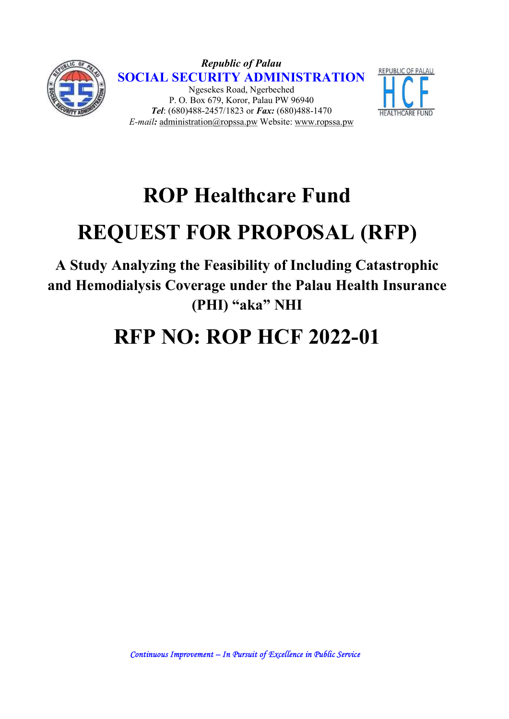

Republic of Palau SOCIAL SECURITY ADMINISTRATION Ngesekes Road, Ngerbeched P. O. Box 679, Koror, Palau PW 96940 Tel: (680)488-2457/1823 or Fax: (680)488-1470 E-mail: administration@ropssa.pw Website: www.ropssa.pw



## ROP Healthcare Fund

# REQUEST FOR PROPOSAL (RFP)

A Study Analyzing the Feasibility of Including Catastrophic and Hemodialysis Coverage under the Palau Health Insurance (PHI) "aka" NHI

### RFP NO: ROP HCF 2022-01

Continuous Improvement – In Pursuit of Excellence in Public Service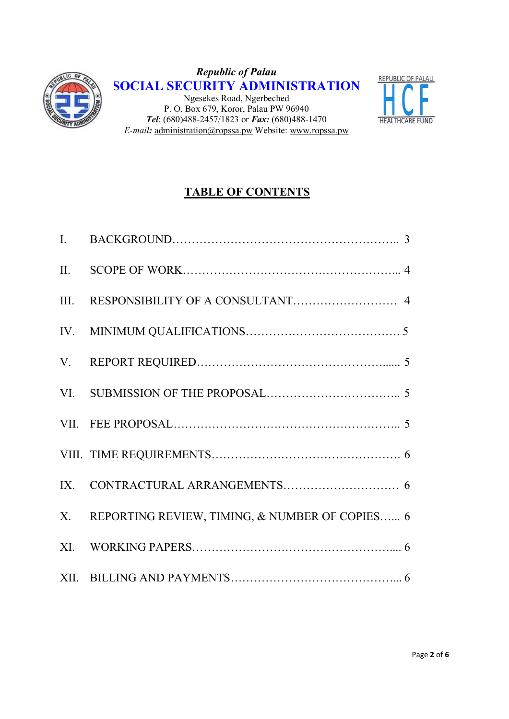

Republic of Palau SOCIAL SECURITY ADMINISTRATION Ngesekes Road, Ngerbeched P. O. Box 679, Koror, Palau PW 96940 Tel:  $(680)488-2457/1823$  or Fax:  $(680)488-1470$ E-mail: administration@ropssa.pw Website: www.ropssa.pw



### TABLE OF CONTENTS

| X. REPORTING REVIEW, TIMING, & NUMBER OF COPIES 6 |
|---------------------------------------------------|
|                                                   |
|                                                   |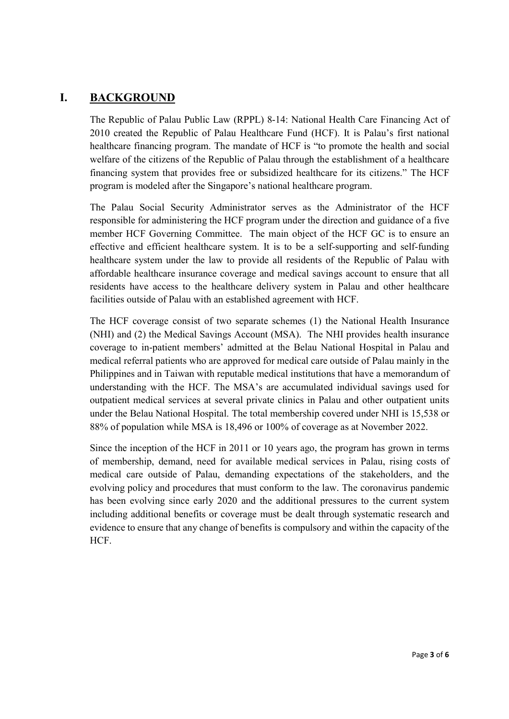#### I. BACKGROUND

The Republic of Palau Public Law (RPPL) 8-14: National Health Care Financing Act of 2010 created the Republic of Palau Healthcare Fund (HCF). It is Palau's first national healthcare financing program. The mandate of HCF is "to promote the health and social welfare of the citizens of the Republic of Palau through the establishment of a healthcare financing system that provides free or subsidized healthcare for its citizens." The HCF program is modeled after the Singapore's national healthcare program.

The Palau Social Security Administrator serves as the Administrator of the HCF responsible for administering the HCF program under the direction and guidance of a five member HCF Governing Committee. The main object of the HCF GC is to ensure an effective and efficient healthcare system. It is to be a self-supporting and self-funding healthcare system under the law to provide all residents of the Republic of Palau with affordable healthcare insurance coverage and medical savings account to ensure that all residents have access to the healthcare delivery system in Palau and other healthcare facilities outside of Palau with an established agreement with HCF.

The HCF coverage consist of two separate schemes (1) the National Health Insurance (NHI) and (2) the Medical Savings Account (MSA). The NHI provides health insurance coverage to in-patient members' admitted at the Belau National Hospital in Palau and medical referral patients who are approved for medical care outside of Palau mainly in the Philippines and in Taiwan with reputable medical institutions that have a memorandum of understanding with the HCF. The MSA's are accumulated individual savings used for outpatient medical services at several private clinics in Palau and other outpatient units under the Belau National Hospital. The total membership covered under NHI is 15,538 or 88% of population while MSA is 18,496 or 100% of coverage as at November 2022.

Since the inception of the HCF in 2011 or 10 years ago, the program has grown in terms of membership, demand, need for available medical services in Palau, rising costs of medical care outside of Palau, demanding expectations of the stakeholders, and the evolving policy and procedures that must conform to the law. The coronavirus pandemic has been evolving since early 2020 and the additional pressures to the current system including additional benefits or coverage must be dealt through systematic research and evidence to ensure that any change of benefits is compulsory and within the capacity of the HCF.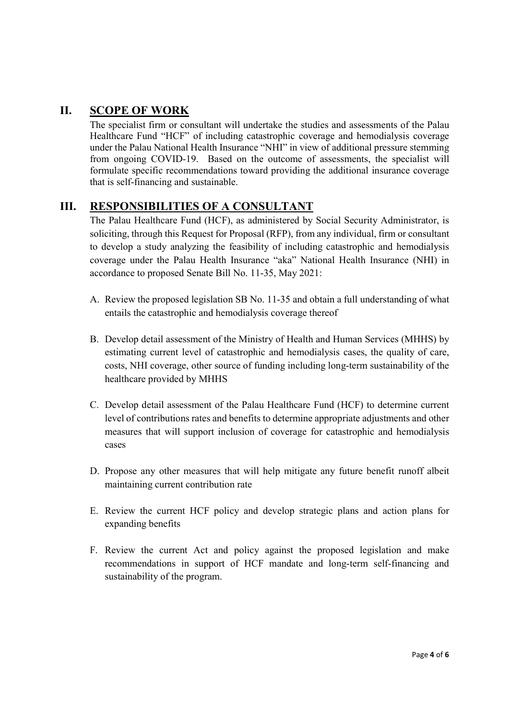#### II. SCOPE OF WORK

The specialist firm or consultant will undertake the studies and assessments of the Palau Healthcare Fund "HCF" of including catastrophic coverage and hemodialysis coverage under the Palau National Health Insurance "NHI" in view of additional pressure stemming from ongoing COVID-19. Based on the outcome of assessments, the specialist will formulate specific recommendations toward providing the additional insurance coverage that is self-financing and sustainable.

#### III. RESPONSIBILITIES OF A CONSULTANT

The Palau Healthcare Fund (HCF), as administered by Social Security Administrator, is soliciting, through this Request for Proposal (RFP), from any individual, firm or consultant to develop a study analyzing the feasibility of including catastrophic and hemodialysis coverage under the Palau Health Insurance "aka" National Health Insurance (NHI) in accordance to proposed Senate Bill No. 11-35, May 2021:

- A. Review the proposed legislation SB No. 11-35 and obtain a full understanding of what entails the catastrophic and hemodialysis coverage thereof
- B. Develop detail assessment of the Ministry of Health and Human Services (MHHS) by estimating current level of catastrophic and hemodialysis cases, the quality of care, costs, NHI coverage, other source of funding including long-term sustainability of the healthcare provided by MHHS
- C. Develop detail assessment of the Palau Healthcare Fund (HCF) to determine current level of contributions rates and benefits to determine appropriate adjustments and other measures that will support inclusion of coverage for catastrophic and hemodialysis cases
- D. Propose any other measures that will help mitigate any future benefit runoff albeit maintaining current contribution rate
- E. Review the current HCF policy and develop strategic plans and action plans for expanding benefits
- F. Review the current Act and policy against the proposed legislation and make recommendations in support of HCF mandate and long-term self-financing and sustainability of the program.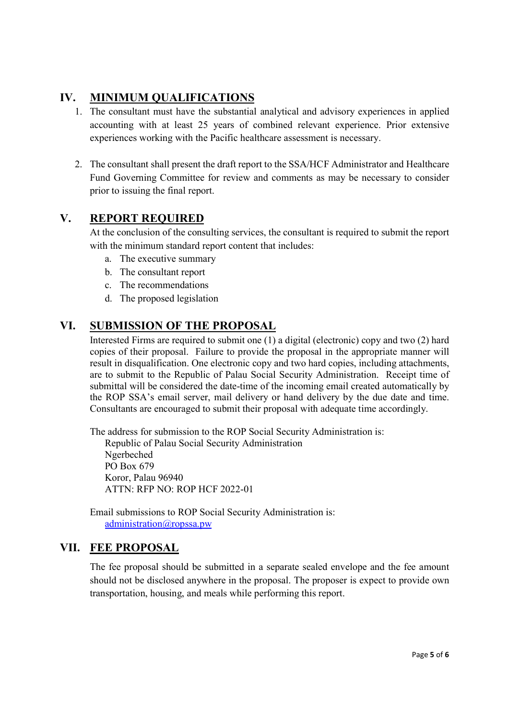#### IV. MINIMUM QUALIFICATIONS

- 1. The consultant must have the substantial analytical and advisory experiences in applied accounting with at least 25 years of combined relevant experience. Prior extensive experiences working with the Pacific healthcare assessment is necessary.
- 2. The consultant shall present the draft report to the SSA/HCF Administrator and Healthcare Fund Governing Committee for review and comments as may be necessary to consider prior to issuing the final report.

#### V. REPORT REQUIRED

At the conclusion of the consulting services, the consultant is required to submit the report with the minimum standard report content that includes:

- a. The executive summary
- b. The consultant report
- c. The recommendations
- d. The proposed legislation

#### VI. SUBMISSION OF THE PROPOSAL

Interested Firms are required to submit one (1) a digital (electronic) copy and two (2) hard copies of their proposal. Failure to provide the proposal in the appropriate manner will result in disqualification. One electronic copy and two hard copies, including attachments, are to submit to the Republic of Palau Social Security Administration. Receipt time of submittal will be considered the date-time of the incoming email created automatically by the ROP SSA's email server, mail delivery or hand delivery by the due date and time. Consultants are encouraged to submit their proposal with adequate time accordingly.

The address for submission to the ROP Social Security Administration is: Republic of Palau Social Security Administration Ngerbeched PO Box 679 Koror, Palau 96940 ATTN: RFP NO: ROP HCF 2022-01

Email submissions to ROP Social Security Administration is: administration@ropssa.pw

#### VII. FEE PROPOSAL

The fee proposal should be submitted in a separate sealed envelope and the fee amount should not be disclosed anywhere in the proposal. The proposer is expect to provide own transportation, housing, and meals while performing this report.